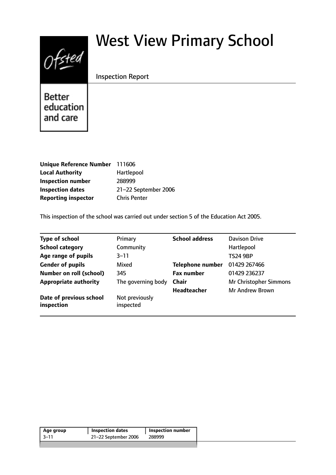# $0$ fsted

# West View Primary School

# Inspection Report

**Better** education and care

| Unique Reference Number 111606 |                      |
|--------------------------------|----------------------|
| <b>Local Authority</b>         | Hartlepool           |
| <b>Inspection number</b>       | 288999               |
| <b>Inspection dates</b>        | 21-22 September 2006 |
| <b>Reporting inspector</b>     | <b>Chris Penter</b>  |

This inspection of the school was carried out under section 5 of the Education Act 2005.

| <b>Type of school</b>                 | Primary                     | <b>School address</b>   | Davison Drive                 |
|---------------------------------------|-----------------------------|-------------------------|-------------------------------|
| <b>School category</b>                | Community                   |                         | Hartlepool                    |
| Age range of pupils                   | $3 - 11$                    |                         | <b>TS24 9BP</b>               |
| <b>Gender of pupils</b>               | Mixed                       | <b>Telephone number</b> | 01429 267466                  |
| <b>Number on roll (school)</b>        | 345                         | <b>Fax number</b>       | 01429 236237                  |
| <b>Appropriate authority</b>          | The governing body          | <b>Chair</b>            | <b>Mr Christopher Simmons</b> |
|                                       |                             | <b>Headteacher</b>      | <b>Mr Andrew Brown</b>        |
| Date of previous school<br>inspection | Not previously<br>inspected |                         |                               |

| 21-22 September 2006<br>$-3-11$<br>288999 | Age group | <b>Inspection dates</b> | <b>Inspection number</b> |
|-------------------------------------------|-----------|-------------------------|--------------------------|
|                                           |           |                         |                          |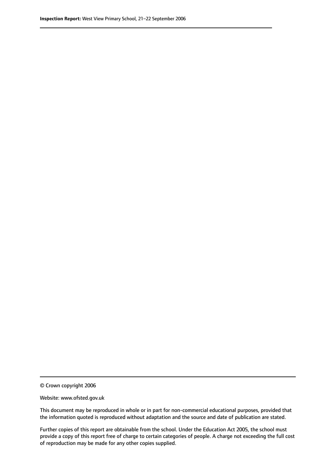© Crown copyright 2006

Website: www.ofsted.gov.uk

This document may be reproduced in whole or in part for non-commercial educational purposes, provided that the information quoted is reproduced without adaptation and the source and date of publication are stated.

Further copies of this report are obtainable from the school. Under the Education Act 2005, the school must provide a copy of this report free of charge to certain categories of people. A charge not exceeding the full cost of reproduction may be made for any other copies supplied.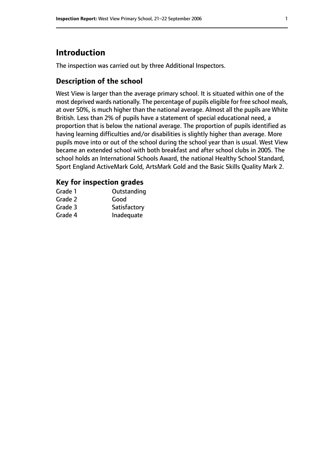# **Introduction**

The inspection was carried out by three Additional Inspectors.

# **Description of the school**

West View is larger than the average primary school. It is situated within one of the most deprived wards nationally. The percentage of pupils eligible for free school meals, at over 50%, is much higher than the national average. Almost all the pupils are White British. Less than 2% of pupils have a statement of special educational need, a proportion that is below the national average. The proportion of pupils identified as having learning difficulties and/or disabilities is slightly higher than average. More pupils move into or out of the school during the school year than is usual. West View became an extended school with both breakfast and after school clubs in 2005. The school holds an International Schools Award, the national Healthy School Standard, Sport England ActiveMark Gold, ArtsMark Gold and the Basic Skills Quality Mark 2.

# **Key for inspection grades**

| Grade 1 | Outstanding  |
|---------|--------------|
| Grade 2 | Good         |
| Grade 3 | Satisfactory |
| Grade 4 | Inadequate   |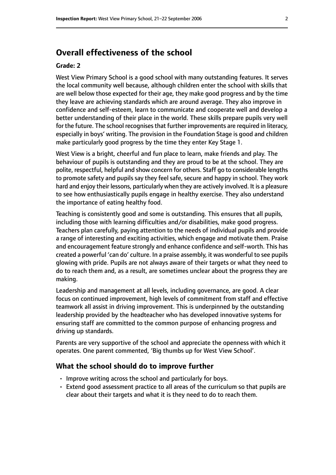# **Overall effectiveness of the school**

#### **Grade: 2**

West View Primary School is a good school with many outstanding features. It serves the local community well because, although children enter the school with skills that are well below those expected for their age, they make good progress and by the time they leave are achieving standards which are around average. They also improve in confidence and self-esteem, learn to communicate and cooperate well and develop a better understanding of their place in the world. These skills prepare pupils very well for the future. The school recognises that further improvements are required in literacy, especially in boys' writing. The provision in the Foundation Stage is good and children make particularly good progress by the time they enter Key Stage 1.

West View is a bright, cheerful and fun place to learn, make friends and play. The behaviour of pupils is outstanding and they are proud to be at the school. They are polite, respectful, helpful and show concern for others. Staff go to considerable lengths to promote safety and pupils say they feel safe, secure and happy in school. They work hard and enjoy their lessons, particularly when they are actively involved. It is a pleasure to see how enthusiastically pupils engage in healthy exercise. They also understand the importance of eating healthy food.

Teaching is consistently good and some is outstanding. This ensures that all pupils, including those with learning difficulties and/or disabilities, make good progress. Teachers plan carefully, paying attention to the needs of individual pupils and provide a range of interesting and exciting activities, which engage and motivate them. Praise and encouragement feature strongly and enhance confidence and self-worth. This has created a powerful 'can do' culture. In a praise assembly, it was wonderful to see pupils glowing with pride. Pupils are not always aware of their targets or what they need to do to reach them and, as a result, are sometimes unclear about the progress they are making.

Leadership and management at all levels, including governance, are good. A clear focus on continued improvement, high levels of commitment from staff and effective teamwork all assist in driving improvement. This is underpinned by the outstanding leadership provided by the headteacher who has developed innovative systems for ensuring staff are committed to the common purpose of enhancing progress and driving up standards.

Parents are very supportive of the school and appreciate the openness with which it operates. One parent commented, 'Big thumbs up for West View School'.

#### **What the school should do to improve further**

- Improve writing across the school and particularly for boys.
- Extend good assessment practice to all areas of the curriculum so that pupils are clear about their targets and what it is they need to do to reach them.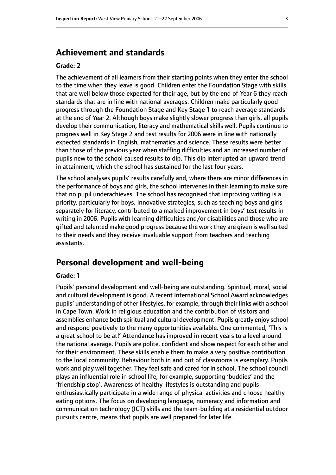# **Achievement and standards**

#### **Grade: 2**

The achievement of all learners from their starting points when they enter the school to the time when they leave is good. Children enter the Foundation Stage with skills that are well below those expected for their age, but by the end of Year 6 they reach standards that are in line with national averages. Children make particularly good progress through the Foundation Stage and Key Stage 1 to reach average standards at the end of Year 2. Although boys make slightly slower progress than girls, all pupils develop their communication, literacy and mathematical skills well. Pupils continue to progress well in Key Stage 2 and test results for 2006 were in line with nationally expected standards in English, mathematics and science. These results were better than those of the previous year when staffing difficulties and an increased number of pupils new to the school caused results to dip. This dip interrupted an upward trend in attainment, which the school has sustained for the last four years.

The school analyses pupils' results carefully and, where there are minor differences in the performance of boys and girls, the school intervenes in their learning to make sure that no pupil underachieves. The school has recognised that improving writing is a priority, particularly for boys. Innovative strategies, such as teaching boys and girls separately for literacy, contributed to a marked improvement in boys' test results in writing in 2006. Pupils with learning difficulties and/or disabilities and those who are gifted and talented make good progress because the work they are given is well suited to their needs and they receive invaluable support from teachers and teaching assistants.

# **Personal development and well-being**

#### **Grade: 1**

Pupils' personal development and well-being are outstanding. Spiritual, moral, social and cultural development is good. A recent International School Award acknowledges pupils' understanding of other lifestyles, for example, through their links with a school in Cape Town. Work in religious education and the contribution of visitors and assemblies enhance both spiritual and cultural development. Pupils greatly enjoy school and respond positively to the many opportunities available. One commented, 'This is a great school to be at!' Attendance has improved in recent years to a level around the national average. Pupils are polite, confident and show respect for each other and for their environment. These skills enable them to make a very positive contribution to the local community. Behaviour both in and out of classrooms is exemplary. Pupils work and play well together. They feel safe and cared for in school. The school council plays an influential role in school life, for example, supporting 'buddies' and the 'friendship stop'. Awareness of healthy lifestyles is outstanding and pupils enthusiastically participate in a wide range of physical activities and choose healthy eating options. The focus on developing language, numeracy and information and communication technology (ICT) skills and the team-building at a residential outdoor pursuits centre, means that pupils are well prepared for later life.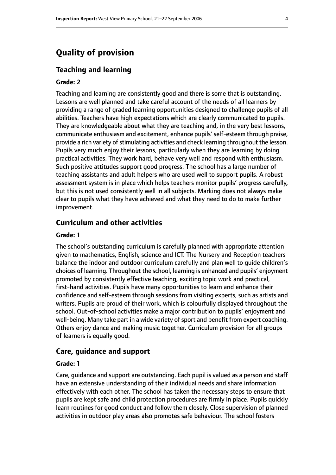# **Quality of provision**

#### **Teaching and learning**

#### **Grade: 2**

Teaching and learning are consistently good and there is some that is outstanding. Lessons are well planned and take careful account of the needs of all learners by providing a range of graded learning opportunities designed to challenge pupils of all abilities. Teachers have high expectations which are clearly communicated to pupils. They are knowledgeable about what they are teaching and, in the very best lessons, communicate enthusiasm and excitement, enhance pupils'self-esteem through praise, provide a rich variety of stimulating activities and check learning throughout the lesson. Pupils very much enjoy their lessons, particularly when they are learning by doing practical activities. They work hard, behave very well and respond with enthusiasm. Such positive attitudes support good progress. The school has a large number of teaching assistants and adult helpers who are used well to support pupils. A robust assessment system is in place which helps teachers monitor pupils' progress carefully, but this is not used consistently well in all subjects. Marking does not always make clear to pupils what they have achieved and what they need to do to make further improvement.

#### **Curriculum and other activities**

#### **Grade: 1**

The school's outstanding curriculum is carefully planned with appropriate attention given to mathematics, English, science and ICT. The Nursery and Reception teachers balance the indoor and outdoor curriculum carefully and plan well to guide children's choices of learning. Throughout the school, learning is enhanced and pupils' enjoyment promoted by consistently effective teaching, exciting topic work and practical, first-hand activities. Pupils have many opportunities to learn and enhance their confidence and self-esteem through sessions from visiting experts, such as artists and writers. Pupils are proud of their work, which is colourfully displayed throughout the school. Out-of-school activities make a major contribution to pupils' enjoyment and well-being. Many take part in a wide variety of sport and benefit from expert coaching. Others enjoy dance and making music together. Curriculum provision for all groups of learners is equally good.

#### **Care, guidance and support**

#### **Grade: 1**

Care, guidance and support are outstanding. Each pupil is valued as a person and staff have an extensive understanding of their individual needs and share information effectively with each other. The school has taken the necessary steps to ensure that pupils are kept safe and child protection procedures are firmly in place. Pupils quickly learn routines for good conduct and follow them closely. Close supervision of planned activities in outdoor play areas also promotes safe behaviour. The school fosters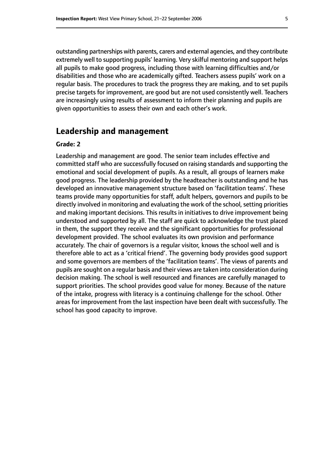outstanding partnerships with parents, carers and external agencies, and they contribute extremely well to supporting pupils' learning. Very skilful mentoring and support helps all pupils to make good progress, including those with learning difficulties and/or disabilities and those who are academically gifted. Teachers assess pupils' work on a regular basis. The procedures to track the progress they are making, and to set pupils precise targets for improvement, are good but are not used consistently well. Teachers are increasingly using results of assessment to inform their planning and pupils are given opportunities to assess their own and each other's work.

### **Leadership and management**

#### **Grade: 2**

Leadership and management are good. The senior team includes effective and committed staff who are successfully focused on raising standards and supporting the emotional and social development of pupils. As a result, all groups of learners make good progress. The leadership provided by the headteacher is outstanding and he has developed an innovative management structure based on 'facilitation teams'. These teams provide many opportunities for staff, adult helpers, governors and pupils to be directly involved in monitoring and evaluating the work of the school, setting priorities and making important decisions. This results in initiatives to drive improvement being understood and supported by all. The staff are quick to acknowledge the trust placed in them, the support they receive and the significant opportunities for professional development provided. The school evaluates its own provision and performance accurately. The chair of governors is a regular visitor, knows the school well and is therefore able to act as a 'critical friend'. The governing body provides good support and some governors are members of the 'facilitation teams'. The views of parents and pupils are sought on a regular basis and their views are taken into consideration during decision making. The school is well resourced and finances are carefully managed to support priorities. The school provides good value for money. Because of the nature of the intake, progress with literacy is a continuing challenge for the school. Other areas for improvement from the last inspection have been dealt with successfully. The school has good capacity to improve.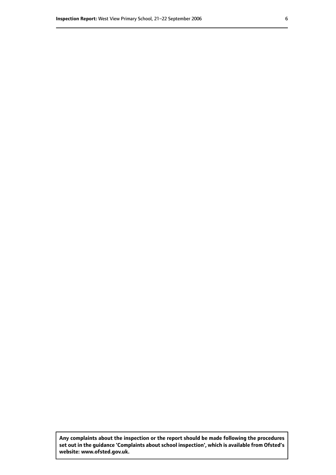**Any complaints about the inspection or the report should be made following the procedures set out inthe guidance 'Complaints about school inspection', whichis available from Ofsted's website: www.ofsted.gov.uk.**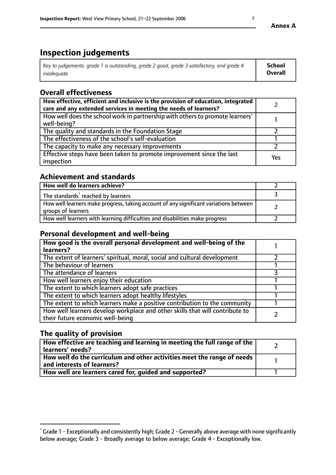# **Inspection judgements**

| Key to judgements: grade 1 is outstanding, grade 2 good, grade 3 satisfactory, and grade 4 | <b>School</b>  |
|--------------------------------------------------------------------------------------------|----------------|
| inadeauate                                                                                 | <b>Overall</b> |

# **Overall effectiveness**

| How effective, efficient and inclusive is the provision of education, integrated<br>care and any extended services in meeting the needs of learners? |     |
|------------------------------------------------------------------------------------------------------------------------------------------------------|-----|
| How well does the school work in partnership with others to promote learners'<br>well-being?                                                         |     |
| The quality and standards in the Foundation Stage                                                                                                    |     |
| The effectiveness of the school's self-evaluation                                                                                                    |     |
| The capacity to make any necessary improvements                                                                                                      |     |
| Effective steps have been taken to promote improvement since the last<br>inspection                                                                  | Yes |

# **Achievement and standards**

| How well do learners achieve?                                                                               |  |
|-------------------------------------------------------------------------------------------------------------|--|
| The standards <sup>1</sup> reached by learners                                                              |  |
| How well learners make progress, taking account of any significant variations between<br>groups of learners |  |
| How well learners with learning difficulties and disabilities make progress                                 |  |

# **Personal development and well-being**

| How good is the overall personal development and well-being of the<br>learners?                                  |  |
|------------------------------------------------------------------------------------------------------------------|--|
| The extent of learners' spiritual, moral, social and cultural development                                        |  |
| The behaviour of learners                                                                                        |  |
| The attendance of learners                                                                                       |  |
| How well learners enjoy their education                                                                          |  |
| The extent to which learners adopt safe practices                                                                |  |
| The extent to which learners adopt healthy lifestyles                                                            |  |
| The extent to which learners make a positive contribution to the community                                       |  |
| How well learners develop workplace and other skills that will contribute to<br>their future economic well-being |  |

# **The quality of provision**

| How effective are teaching and learning in meeting the full range of the<br>learners' needs?          |  |
|-------------------------------------------------------------------------------------------------------|--|
| How well do the curriculum and other activities meet the range of needs<br>and interests of learners? |  |
| How well are learners cared for, quided and supported?                                                |  |

 $^1$  Grade 1 - Exceptionally and consistently high; Grade 2 - Generally above average with none significantly below average; Grade 3 - Broadly average to below average; Grade 4 - Exceptionally low.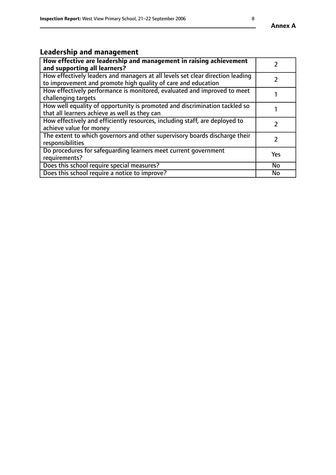# **Leadership and management**

| How effective are leadership and management in raising achievement<br>and supporting all learners?                                              |               |
|-------------------------------------------------------------------------------------------------------------------------------------------------|---------------|
| How effectively leaders and managers at all levels set clear direction leading<br>to improvement and promote high quality of care and education |               |
| How effectively performance is monitored, evaluated and improved to meet<br>challenging targets                                                 |               |
| How well equality of opportunity is promoted and discrimination tackled so<br>that all learners achieve as well as they can                     |               |
| How effectively and efficiently resources, including staff, are deployed to<br>achieve value for money                                          | $\mathcal{L}$ |
| The extent to which governors and other supervisory boards discharge their<br>responsibilities                                                  |               |
| Do procedures for safequarding learners meet current government<br>requirements?                                                                | Yes           |
| Does this school require special measures?                                                                                                      | No            |
| Does this school require a notice to improve?                                                                                                   | <b>No</b>     |